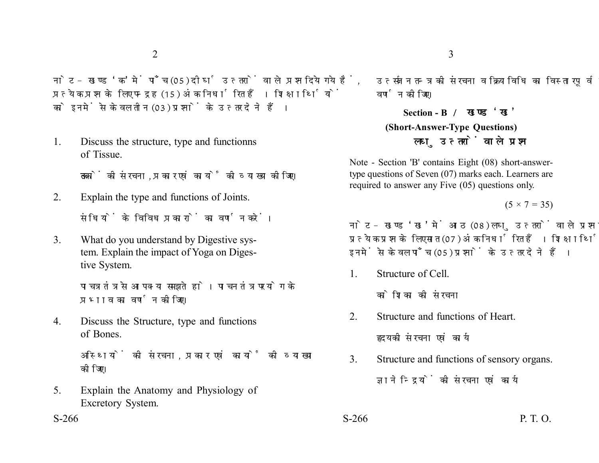नोट- खण्ड 'क' में पाँच (05) दीर्घ उत्तरों वाले प्रश्न दिये गये हैं. प्रत्येक प्रश्न के लिए पन्द्रह (15) अंक निर्धारित हैं। शिक्षार्थियों को इनमें से केवल तीन (03) प्रश्नों के उत्तर देने हैं।

1. Discuss the structure, type and functionns of Tissue.

ऊतकों की संरचना. प्रकार एवं कार्यों की व्याख्या कीजिए।

- 2. Explain the type and functions of Joints. संधियों के विविध पकारों का वर्णन करें।
- 3. What do you understand by Digestive system. Explain the impact of Yoga on Digestive System.

पाचत्र तंत्र से आप क्या समझते हो। पाचन तंत्र पर योग के प्रभाव का वर्णन कोजिए।

4. Discuss the Structure, type and functions of Bones.

> अस्थियों की संरचना. प्रकार एवं कार्यों की व्याख्या कोजिए।

5. Explain the Anatomy and Physiology of Excretory System.

उत्सर्जन तन्त्र को संरचना व क्रियाविधि का विस्तारपूर्वक

**Section - B (Short-Answer-Type Questions)** लघु उत्तरों वाले प्रश्न

Note - Section 'B' contains Eight (08) short-answertype questions of Seven (07) marks each. Learners are required to answer any Five (05) questions only.

 $(5 \times 7 = 35)$ 

नोट- खण्ड 'ख' में आठ (08) लघु उत्तरों वाले प्रश्न दिये गये हैं, प्रत्येक प्रश्न के लिए सात (07) अंक निर्धारित हैं। शिक्षार्थियों को इनमें से केवल पाँच (05) प्रश्नों के उत्तर देने हैं।

1. Structure of Cell.

वर्णन कोजिए।

कोशिका की संरचना

2. Structure and functions of Heart.

हृदय की संरचना एवं कार्य

- 3. Structure and functions of sensory organs. ज्ञानेन्द्रियों की संरचना एवं कार्य
- $S-266$  P. T. O.